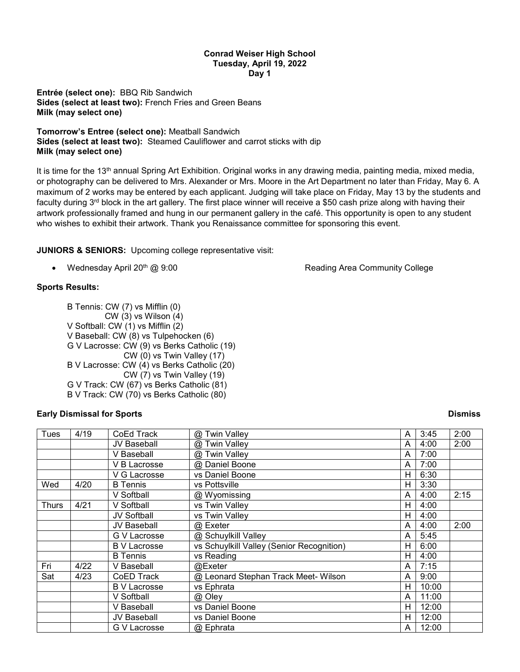## **Conrad Weiser High School Tuesday, April 19, 2022 Day 1**

**Entrée (select one):** BBQ Rib Sandwich **Sides (select at least two):** French Fries and Green Beans **Milk (may select one)**

**Tomorrow's Entree (select one):** Meatball Sandwich **Sides (select at least two):** Steamed Cauliflower and carrot sticks with dip **Milk (may select one)**

It is time for the 13<sup>th</sup> annual Spring Art Exhibition. Original works in any drawing media, painting media, mixed media, or photography can be delivered to Mrs. Alexander or Mrs. Moore in the Art Department no later than Friday, May 6. A maximum of 2 works may be entered by each applicant. Judging will take place on Friday, May 13 by the students and faculty during  $3<sup>rd</sup>$  block in the art gallery. The first place winner will receive a \$50 cash prize along with having their artwork professionally framed and hung in our permanent gallery in the café. This opportunity is open to any student who wishes to exhibit their artwork. Thank you Renaissance committee for sponsoring this event.

**JUNIORS & SENIORS:** Upcoming college representative visit:

• Wednesday April 20<sup>th</sup> @ 9:00 **Reading Area Community College** 

# **Sports Results:**

B Tennis: CW (7) vs Mifflin (0) CW (3) vs Wilson (4) V Softball: CW (1) vs Mifflin (2) V Baseball: CW (8) vs Tulpehocken (6) G V Lacrosse: CW (9) vs Berks Catholic (19) CW (0) vs Twin Valley (17) B V Lacrosse: CW (4) vs Berks Catholic (20) CW (7) vs Twin Valley (19) G V Track: CW (67) vs Berks Catholic (81) B V Track: CW (70) vs Berks Catholic (80)

## **Early Dismissal for Sports Dismiss**

| Tues  | 4/19 | CoEd Track         | @ Twin Valley                             | A | 3:45  | 2:00 |
|-------|------|--------------------|-------------------------------------------|---|-------|------|
|       |      | JV Baseball        | @ Twin Valley                             | A | 4:00  | 2:00 |
|       |      | V Baseball         | @ Twin Valley                             | A | 7:00  |      |
|       |      | V B Lacrosse       | @ Daniel Boone                            | A | 7:00  |      |
|       |      | V G Lacrosse       | vs Daniel Boone                           | H | 6:30  |      |
| Wed   | 4/20 | <b>B</b> Tennis    | vs Pottsville                             | H | 3:30  |      |
|       |      | V Softball         | @ Wyomissing                              | A | 4:00  | 2:15 |
| Thurs | 4/21 | V Softball         | vs Twin Valley                            | Н | 4:00  |      |
|       |      | <b>JV Softball</b> | vs Twin Valley                            | H | 4:00  |      |
|       |      | JV Baseball        | @ Exeter                                  | A | 4:00  | 2:00 |
|       |      | G V Lacrosse       | @ Schuylkill Valley                       | A | 5:45  |      |
|       |      | <b>BV Lacrosse</b> | vs Schuylkill Valley (Senior Recognition) | Н | 6:00  |      |
|       |      | <b>B</b> Tennis    | vs Reading                                | H | 4:00  |      |
| Fri   | 4/22 | V Baseball         | @Exeter                                   | A | 7:15  |      |
| Sat   | 4/23 | CoED Track         | @ Leonard Stephan Track Meet- Wilson      | A | 9:00  |      |
|       |      | <b>BV Lacrosse</b> | vs Ephrata                                | H | 10:00 |      |
|       |      | V Softball         | @ Oley                                    | A | 11:00 |      |
|       |      | V Baseball         | vs Daniel Boone                           | н | 12:00 |      |
|       |      | <b>JV Baseball</b> | vs Daniel Boone                           | Н | 12:00 |      |
|       |      | G V Lacrosse       | @ Ephrata                                 | A | 12:00 |      |